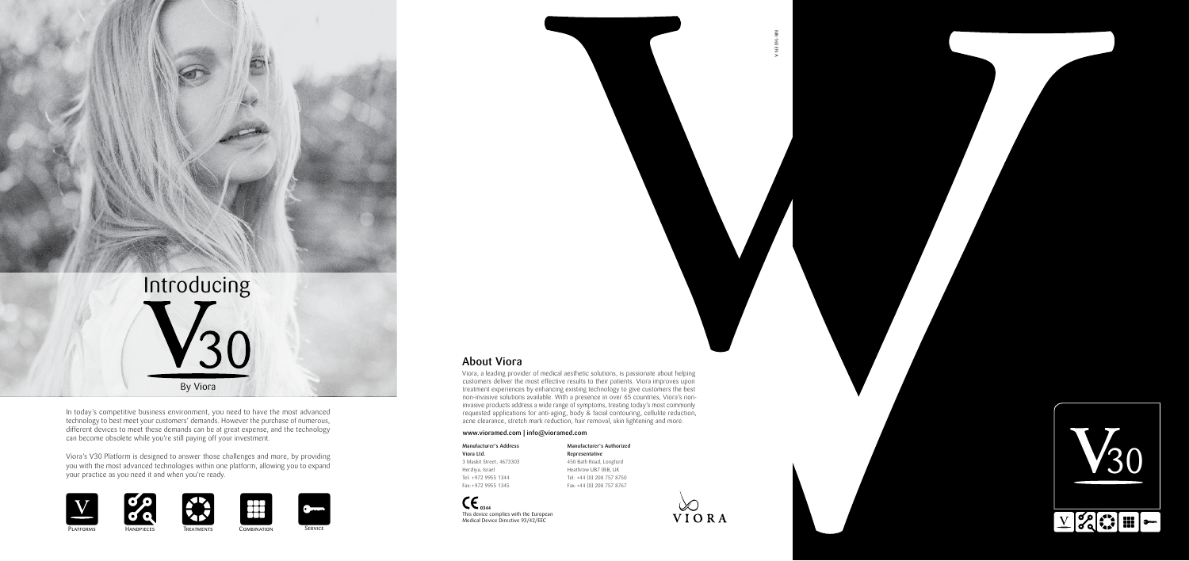Viora's V30 Platform is designed to answer those challenges and more, by providing you with the most advanced technologies within one platform, allowing you to expand your practice as you need it and when you're ready.















MK-160 EN A

 $\overline{z}$ 







In today's competitive business environment, you need to have the most advanced technology to best meet your customers' demands. However the purchase of numerous, different devices to meet these demands can be at great expense, and the technology can become obsolete while you're still paying off your investment.

### About Viora

 $CE_{0344}$ This device complies with the European Medical Device Directive 93/42/EEC

PLATFORMS **TREATMENTS** COMBINATION SERVICE

**HANDPIECES** 

Viora, a leading provider of medical aesthetic solutions, is passionate about helping customers deliver the most effective results to their patients. Viora improves upon treatment experiences by enhancing existing technology to give customers the best non-invasive solutions available. With a presence in over 65 countries, Viora's noninvasive products address a wide range of symptoms, treating today's most commonly requested applications for anti-aging, body & facial contouring, cellulite reduction, acne clearance, stretch mark reduction, hair removal, skin lightening and more.

#### www.vioramed.com | info@vioramed.com

Viora Ltd.

Manufacturer's Address 3 Maskit Street, 4673303 Herzliya, Israel Tel: +972 9955 1344



Fax:+972 9955 1345

#### Manufacturer's Authorized



Representative 450 Bath Road, Longford Heathrow UB7 0EB, UK Tel: +44 (0) 208 757 8750 Fax:+44 (0) 208 757 8767